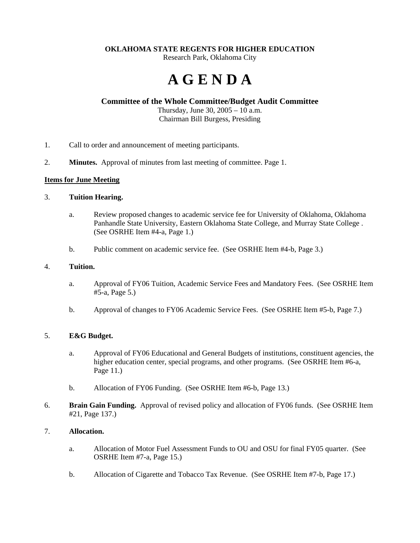### **OKLAHOMA STATE REGENTS FOR HIGHER EDUCATION**

Research Park, Oklahoma City

# **A G E N D A**

## **Committee of the Whole Committee/Budget Audit Committee**

Thursday, June 30, 2005 – 10 a.m. Chairman Bill Burgess, Presiding

- 1. Call to order and announcement of meeting participants.
- 2. **Minutes.** Approval of minutes from last meeting of committee. Page 1.

### **Items for June Meeting**

### 3. **Tuition Hearing.**

- a. Review proposed changes to academic service fee for University of Oklahoma, Oklahoma Panhandle State University, Eastern Oklahoma State College, and Murray State College . (See OSRHE Item #4-a, Page 1.)
- b. Public comment on academic service fee. (See OSRHE Item #4-b, Page 3.)

### 4. **Tuition.**

- a. Approval of FY06 Tuition, Academic Service Fees and Mandatory Fees. (See OSRHE Item #5-a, Page 5.)
- b. Approval of changes to FY06 Academic Service Fees. (See OSRHE Item #5-b, Page 7.)

## 5. **E&G Budget.**

- a. Approval of FY06 Educational and General Budgets of institutions, constituent agencies, the higher education center, special programs, and other programs. (See OSRHE Item #6-a, Page 11.)
- b. Allocation of FY06 Funding. (See OSRHE Item #6-b, Page 13.)
- 6. **Brain Gain Funding.** Approval of revised policy and allocation of FY06 funds. (See OSRHE Item #21, Page 137.)

## 7. **Allocation.**

- a. Allocation of Motor Fuel Assessment Funds to OU and OSU for final FY05 quarter. (See OSRHE Item #7-a, Page 15.)
- b. Allocation of Cigarette and Tobacco Tax Revenue. (See OSRHE Item #7-b, Page 17.)